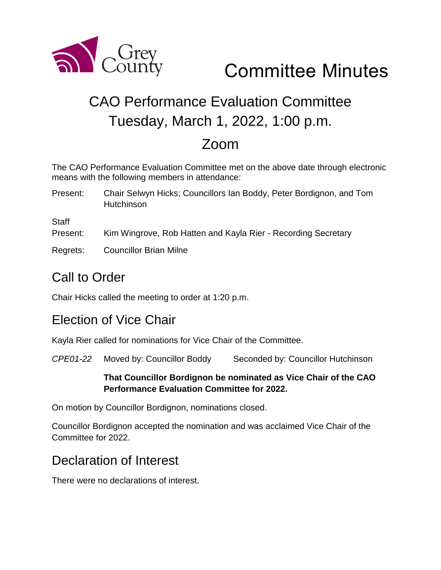

# Committee Minutes

## CAO Performance Evaluation Committee Tuesday, March 1, 2022, 1:00 p.m.

## Zoom

The CAO Performance Evaluation Committee met on the above date through electronic means with the following members in attendance:

Present: Chair Selwyn Hicks; Councillors Ian Boddy, Peter Bordignon, and Tom Hutchinson

**Staff** 

- Present: Kim Wingrove, Rob Hatten and Kayla Rier Recording Secretary
- Regrets: Councillor Brian Milne

## Call to Order

Chair Hicks called the meeting to order at 1:20 p.m.

### Election of Vice Chair

Kayla Rier called for nominations for Vice Chair of the Committee.

*CPE01-22* Moved by: Councillor Boddy Seconded by: Councillor Hutchinson

#### **That Councillor Bordignon be nominated as Vice Chair of the CAO Performance Evaluation Committee for 2022.**

On motion by Councillor Bordignon, nominations closed.

Councillor Bordignon accepted the nomination and was acclaimed Vice Chair of the Committee for 2022.

## Declaration of Interest

There were no declarations of interest.